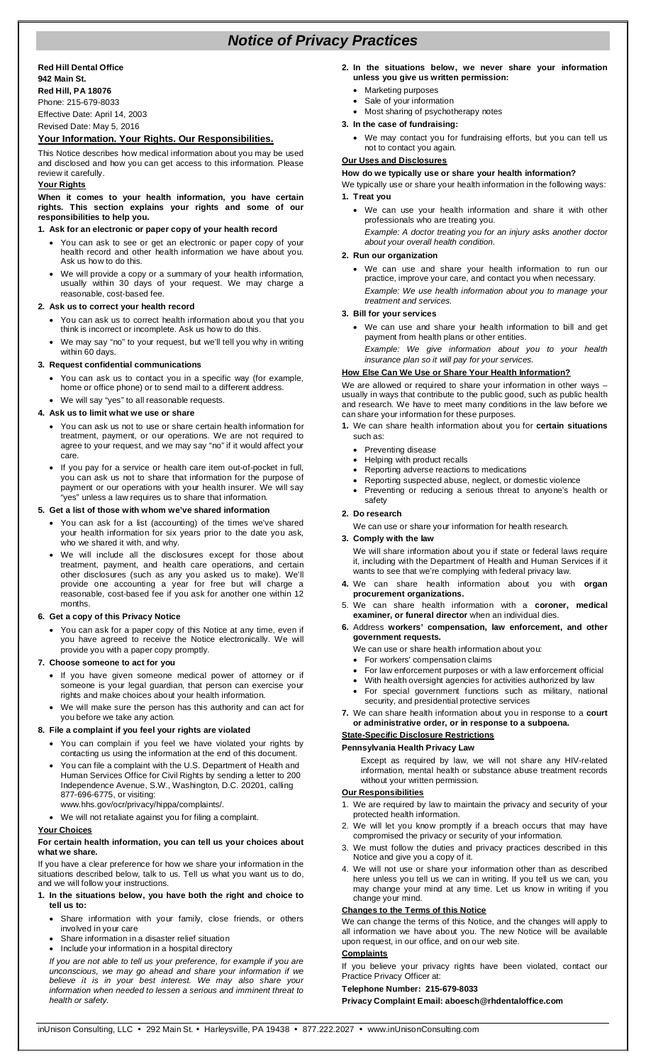# *Notice of Privacy Practices*

## **Red Hill Dental Office 942 Main St.**

**Red Hill, PA 18076** Phone: 215-679-8033

Effective Date: April 14, 2003 Revised Date: May 5, 2016

# **Your Information. Your Rights. Our Responsibilities.**

This Notice describes how medical information about you may be used and disclosed and how you can get access to this information. Please review it carefully.

# **Your Rights**

**When it comes to your health information, you have certain rights. This section explains your rights and some of our responsibilities to help you.**

# **1. Ask for an electronic or paper copy of your health record**

- You can ask to see or get an electronic or paper copy of your health record and other health information we have about you. Ask us how to do this.
- We will provide a copy or a summary of your health information, usually within 30 days of your request. We may charge a reasonable, cost-based fee.

## **2. Ask us to correct your health record**

- You can ask us to correct health information about you that you think is incorrect or incomplete. Ask us how to do this.
- We may say "no" to your request, but we'll tell you why in writing within 60 days.

# **3. Request confidential communications**

- You can ask us to contact you in a specific way (for example, home or office phone) or to send mail to a different address.
- We will say "yes" to all reasonable requests.

## **4. Ask us to limit what we use or share**

- You can ask us not to use or share certain health information for treatment, payment, or our operations. We are not required to agree to your request, and we may say "no" if it would affect your care.
- If you pay for a service or health care item out-of-pocket in full, you can ask us not to share that information for the purpose of payment or our operations with your health insurer. We will say "yes" unless a law requires us to share that information.

#### **5. Get a list of those with whom we've shared information**

- You can ask for a list (accounting) of the times we've shared your health information for six years prior to the date you ask, who we shared it with, and why.
- We will include all the disclosures except for those about treatment, payment, and health care operations, and certain other disclosures (such as any you asked us to make). We'll provide one accounting a year for free but will charge a reasonable, cost-based fee if you ask for another one within 12 months.

## **6. Get a copy of this Privacy Notice**

- You can ask for a paper copy of this Notice at any time, even if you have agreed to receive the Notice electronically. We will provide you with a paper copy promptly.
- **7. Choose someone to act for you**
	- If you have given someone medical power of attorney or if someone is your legal guardian, that person can exercise your rights and make choices about your health information.
	- We will make sure the person has this authority and can act for you before we take any action.

#### **8. File a complaint if you feel your rights are violated**

- You can complain if you feel we have violated your rights by contacting us using the information at the end of this document.
- You can file a complaint with the U.S. Department of Health and Human Services Office for Civil Rights by sending a letter to 200 Independence Avenue, S.W., Washington, D.C. 20201, calling 877-696-6775, or visiting:
- www.hhs.gov/ocr/privacy/hippa/complaints/. • We will not retaliate against you for filing a complaint.

#### **Your Choices**

#### **For certain health information, you can tell us your choices about what we share.**

If you have a clear preference for how we share your information in the situations described below, talk to us. Tell us what you want us to do, and we will follow your instructions.

#### **1. In the situations below, you have both the right and choice to tell us to:**

- Share information with your family, close friends, or others involved in your care
- Share information in a disaster relief situation
- Include your information in a hospital directory

*If you are not able to tell us your preference, for example if you are unconscious, we may go ahead and share your information if we believe it is in your best interest. We may also share your information when needed to lessen a serious and imminent threat to health or safety.*

- **2. In the situations below, we never share your information unless you give us written permission:**
	- Marketing purposes
	- Sale of your information
	- Most sharing of psychotherapy notes
- **3. In the case of fundraising:**
	- We may contact you for fundraising efforts, but you can tell us not to contact you again.

# **Our Uses and Disclosures**

# **How do we typically use or share your health information?**

We typically use or share your health information in the following ways: **1. Treat you**

- We can use your health information and share it with other professionals who are treating you.
	- *Example: A doctor treating you for an injury asks another doctor about your overall health condition.*

# **2. Run our organization**

• We can use and share your health information to run our practice, improve your care, and contact you when necessary. *Example: We use health information about you to manage your treatment and services.* 

#### **3. Bill for your services**

- We can use and share your health information to bill and get payment from health plans or other entities. *Example: We give information about you to your health*
- *insurance plan so it will pay for your services.*

# **How Else Can We Use or Share Your Health Information?**

We are allowed or required to share your information in other ways usually in ways that contribute to the public good, such as public health and research. We have to meet many conditions in the law before we can share your information for these purposes.

- **1.** We can share health information about you for **certain situations**  such as:
	- Preventing disease
	- Helping with product recalls
	- Reporting adverse reactions to medications
	- Reporting suspected abuse, neglect, or domestic violence
	- Preventing or reducing a serious threat to anyone's health or safety

# **2. Do research**

We can use or share your information for health research.

#### **3. Comply with the law**

We will share information about you if state or federal laws require it, including with the Department of Health and Human Services if it wants to see that we're complying with federal privacy law.

- **4.** We can share health information about you with **organ procurement organizations.**
- 5. We can share health information with a **coroner, medical examiner, or funeral director** when an individual dies.
- **6.** Address **workers' compensation, law enforcement, and other government requests.**
	- We can use or share health information about you:
	- For workers' compensation claims
	- For law enforcement purposes or with a law enforcement official
	- With health oversight agencies for activities authorized by law For special government functions such as military, national
	- security, and presidential protective services
- **7.** We can share health information about you in response to a **court or administrative order, or in response to a subpoena.**

#### **State-Specific Disclosure Restrictions Pennsylvania Health Privacy Law**

Except as required by law, we will not share any HIV-related information, mental health or substance abuse treatment records without your written permission.

# **Our Responsibilities**

- 1. We are required by law to maintain the privacy and security of your protected health information.
- 2. We will let you know promptly if a breach occurs that may have compromised the privacy or security of your information.
- 3. We must follow the duties and privacy practices described in this Notice and give you a copy of it.
- 4. We will not use or share your information other than as described here unless you tell us we can in writing. If you tell us we can, you may change your mind at any time. Let us know in writing if you change your mind.

# **Changes to the Terms of this Notice**

We can change the terms of this Notice, and the changes will apply to all information we have about you. The new Notice will be available upon request, in our office, and on our web site.

# **Complaints**

If you believe your privacy rights have been violated, contact our Practice Privacy Officer at:

## **Telephone Number: 215-679-8033**

**Privacy Complaint Email: aboesch@rhdentaloffice.com**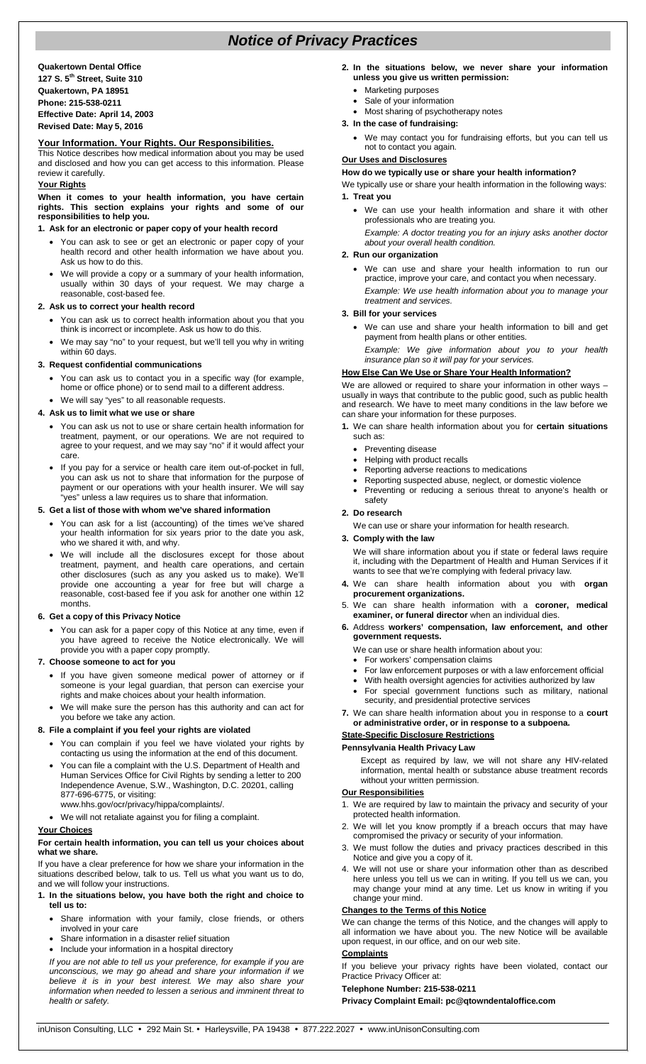# *Notice of Privacy Practices*

**Quakertown Dental Office 127 S. 5th Street, Suite 310 Quakertown, PA 18951 Phone: 215-538-0211 Effective Date: April 14, 2003 Revised Date: May 5, 2016**

# **Your Information. Your Rights. Our Responsibilities.**

This Notice describes how medical information about you may be used and disclosed and how you can get access to this information. Please review it carefully.

# **Your Rights**

**When it comes to your health information, you have certain rights. This section explains your rights and some of our responsibilities to help you.**

## **1. Ask for an electronic or paper copy of your health record**

- You can ask to see or get an electronic or paper copy of your health record and other health information we have about you. Ask us how to do this.
- We will provide a copy or a summary of your health information, usually within 30 days of your request. We may charge a reasonable, cost-based fee.

#### **2. Ask us to correct your health record**

- You can ask us to correct health information about you that you think is incorrect or incomplete. Ask us how to do this.
- We may say "no" to your request, but we'll tell you why in writing within 60 days.

## **3. Request confidential communications**

- You can ask us to contact you in a specific way (for example, home or office phone) or to send mail to a different address.
- We will say "yes" to all reasonable requests.

# **4. Ask us to limit what we use or share**

- You can ask us not to use or share certain health information for treatment, payment, or our operations. We are not required to agree to your request, and we may say "no" if it would affect your care.
- If you pay for a service or health care item out-of-pocket in full, you can ask us not to share that information for the purpose of payment or our operations with your health insurer. We will say "yes" unless a law requires us to share that information.

#### **5. Get a list of those with whom we've shared information**

- You can ask for a list (accounting) of the times we've shared your health information for six years prior to the date you ask, who we shared it with, and why.
- We will include all the disclosures except for those about treatment, payment, and health care operations, and certain other disclosures (such as any you asked us to make). We'll provide one accounting a year for free but will charge a reasonable, cost-based fee if you ask for another one within 12 months.

## **6. Get a copy of this Privacy Notice**

- You can ask for a paper copy of this Notice at any time, even if you have agreed to receive the Notice electronically. We will provide you with a paper copy promptly.
- **7. Choose someone to act for you**
	- If you have given someone medical power of attorney or if someone is your legal guardian, that person can exercise your rights and make choices about your health information.
	- We will make sure the person has this authority and can act for you before we take any action.

#### **8. File a complaint if you feel your rights are violated**

- You can complain if you feel we have violated your rights by contacting us using the information at the end of this document.
- You can file a complaint with the U.S. Department of Health and Human Services Office for Civil Rights by sending a letter to 200 Independence Avenue, S.W., Washington, D.C. 20201, calling 877-696-6775, or visiting: www.hhs.gov/ocr/privacy/hippa/complaints/.
- We will not retaliate against you for filing a complaint.

#### **Your Choices**

#### **For certain health information, you can tell us your choices about what we share.**

If you have a clear preference for how we share your information in the situations described below, talk to us. Tell us what you want us to do, and we will follow your instructions.

#### **1. In the situations below, you have both the right and choice to tell us to:**

- Share information with your family, close friends, or others involved in your care
- Share information in a disaster relief situation
- Include your information in a hospital directory

*If you are not able to tell us your preference, for example if you are unconscious, we may go ahead and share your information if we believe it is in your best interest. We may also share your information when needed to lessen a serious and imminent threat to health or safety.*

- **2. In the situations below, we never share your information unless you give us written permission:**
	- Marketing purposes
	- Sale of your information
- Most sharing of psychotherapy notes **3. In the case of fundraising:**
	- We may contact you for fundraising efforts, but you can tell us not to contact you again.

# **Our Uses and Disclosures**

## **How do we typically use or share your health information?**

We typically use or share your health information in the following ways: **1. Treat you**

• We can use your health information and share it with other professionals who are treating you.

*Example: A doctor treating you for an injury asks another doctor about your overall health condition.*

# **2. Run our organization**

• We can use and share your health information to run our practice, improve your care, and contact you when necessary. *Example: We use health information about you to manage your treatment and services.* 

## **3. Bill for your services**

- We can use and share your health information to bill and get payment from health plans or other entities.
- *Example: We give information about you to your health insurance plan so it will pay for your services.*

# **How Else Can We Use or Share Your Health Information?**

We are allowed or required to share your information in other ways – usually in ways that contribute to the public good, such as public health and research. We have to meet many conditions in the law before we can share your information for these purposes.

- **1.** We can share health information about you for **certain situations**  such as:
	- Preventing disease<br>• Helping with product
	- Helping with product recalls
	- Reporting adverse reactions to medications
	- Reporting suspected abuse, neglect, or domestic violence
	- Preventing or reducing a serious threat to anyone's health or safety

#### **2. Do research**

We can use or share your information for health research.

#### **3. Comply with the law**

We will share information about you if state or federal laws require it, including with the Department of Health and Human Services if it wants to see that we're complying with federal privacy law.

- **4.** We can share health information about you with **organ procurement organizations.**
- 5. We can share health information with a **coroner, medical examiner, or funeral director** when an individual dies.
- **6.** Address **workers' compensation, law enforcement, and other government requests.**
	- We can use or share health information about you:
	- For workers' compensation claims
	- For law enforcement purposes or with a law enforcement official
	- With health oversight agencies for activities authorized by law For special government functions such as military, national security, and presidential protective services
- **7.** We can share health information about you in response to a **court or administrative order, or in response to a subpoena.**

#### **State-Specific Disclosure Restrictions**

#### **Pennsylvania Health Privacy Law**

Except as required by law, we will not share any HIV-related information, mental health or substance abuse treatment records without your written permission.

# **Our Responsibilities**

- 1. We are required by law to maintain the privacy and security of your protected health information.
- 2. We will let you know promptly if a breach occurs that may have compromised the privacy or security of your information.
- 3. We must follow the duties and privacy practices described in this Notice and give you a copy of it.
- 4. We will not use or share your information other than as described here unless you tell us we can in writing. If you tell us we can, you may change your mind at any time. Let us know in writing if you change your mind.

# **Changes to the Terms of this Notice**

We can change the terms of this Notice, and the changes will apply to all information we have about you. The new Notice will be available upon request, in our office, and on our web site.

## **Complaints**

If you believe your privacy rights have been violated, contact our Practice Privacy Officer at:

#### **Telephone Number: 215-538-0211**

**Privacy Complaint Email: pc@qtowndentaloffice.com**